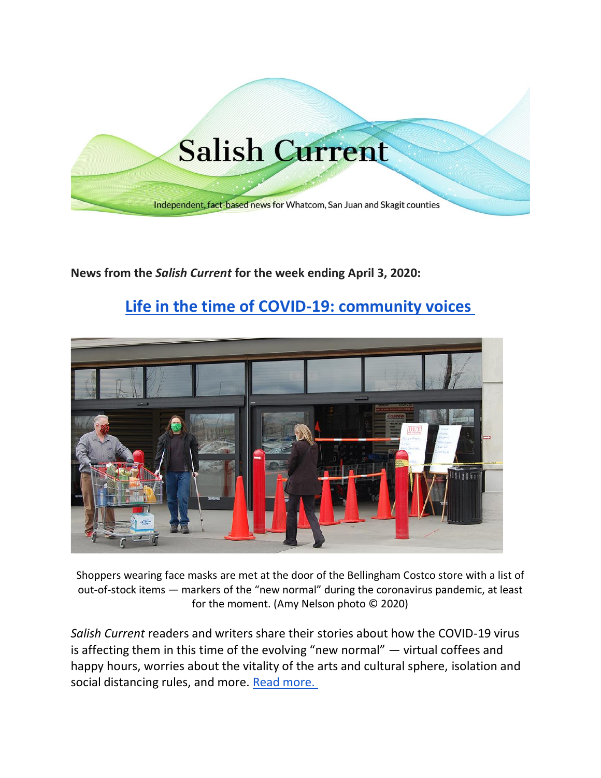

**News from the** *Salish Current* **for the week ending April 3, 2020:**

# **[Life in the time of COVID-19: community voices](https://salish-current.org/2020/04/01/life-in-the-time-of-covid-19-our-stories/)**



Shoppers wearing face masks are met at the door of the Bellingham Costco store with a list of out-of-stock items — markers of the "new normal" during the coronavirus pandemic, at least for the moment. (Amy Nelson photo © 2020)

*Salish Current* readers and writers share their stories about how the COVID-19 virus is affecting them in this time of the evolving "new normal" — virtual coffees and happy hours, worries about the vitality of the arts and cultural sphere, isolation and social distancing rules, and more. [Read more.](https://salish-current.org/2020/04/01/life-in-the-time-of-covid-19-our-stories/)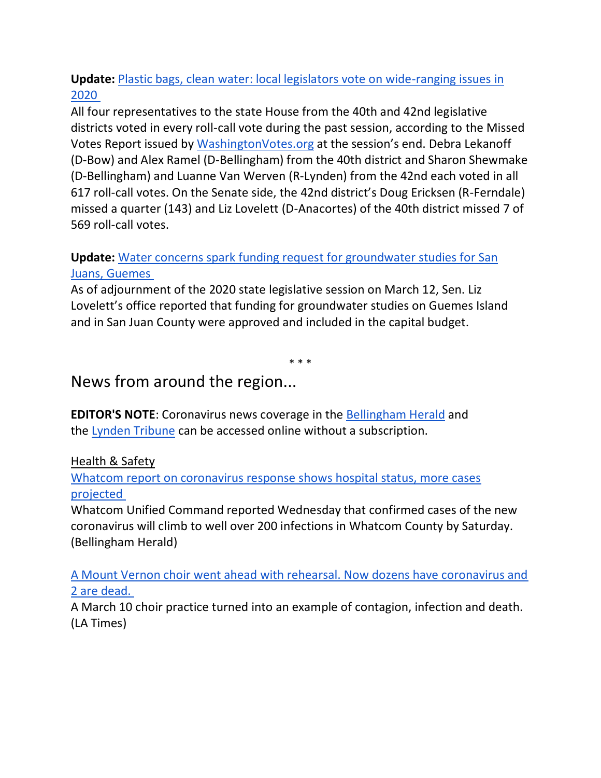# **Update:** [Plastic bags, clean water: local legislators vote on wide-ranging issues in](https://salish-current.org/2020/03/18/plastic-bags-clean-water-local-legislators-vote-on-wide-ranging-issues-in-2020/)  [2020](https://salish-current.org/2020/03/18/plastic-bags-clean-water-local-legislators-vote-on-wide-ranging-issues-in-2020/)

All four representatives to the state House from the 40th and 42nd legislative districts voted in every roll-call vote during the past session, according to the Missed Votes Report issued by [WashingtonVotes.org](http://washingtonvotes.org/) at the session's end. Debra Lekanoff (D-Bow) and Alex Ramel (D-Bellingham) from the 40th district and Sharon Shewmake (D-Bellingham) and Luanne Van Werven (R-Lynden) from the 42nd each voted in all 617 roll-call votes. On the Senate side, the 42nd district's Doug Ericksen (R-Ferndale) missed a quarter (143) and Liz Lovelett (D-Anacortes) of the 40th district missed 7 of 569 roll-call votes.

# **Update:** [Water concerns spark funding request for groundwater studies for San](https://salish-current.org/2020/01/22/water-supply-worries-spark-request-for-state-funding-of-groundwater-studies/)  [Juans, Guemes](https://salish-current.org/2020/01/22/water-supply-worries-spark-request-for-state-funding-of-groundwater-studies/)

As of adjournment of the 2020 state legislative session on March 12, Sen. Liz Lovelett's office reported that funding for groundwater studies on Guemes Island and in San Juan County were approved and included in the capital budget.

\* \* \*

# News from around the region...

**EDITOR'S NOTE**: Coronavirus news coverage in the [Bellingham Herald](https://www.bellinghamherald.com/) and the [Lynden Tribune](https://www.lyndentribune.com/news/) can be accessed online without a subscription.

## Health & Safety

## [Whatcom report on coronavirus response shows hospital status, more cases](https://www.bellinghamherald.com/news/coronavirus/article241686001.html?fbclid=IwAR15PkRrmLUGXtHAiecD2don0m9ZBqZa_4Z4I1AY4yhFnmIMC-lmuJwYkSI)  [projected](https://www.bellinghamherald.com/news/coronavirus/article241686001.html?fbclid=IwAR15PkRrmLUGXtHAiecD2don0m9ZBqZa_4Z4I1AY4yhFnmIMC-lmuJwYkSI)

Whatcom Unified Command reported Wednesday that confirmed cases of the new coronavirus will climb to well over 200 infections in Whatcom County by Saturday. (Bellingham Herald)

[A Mount Vernon choir went ahead with rehearsal. Now dozens have coronavirus and](https://www.seattletimes.com/nation-world/a-mount-vernon-choir-went-ahead-with-rehearsal-now-dozens-have-coronavirus-and-2-are-dead/?utm_source=referral&utm_medium=mobile-app&utm_campaign=ios)  [2 are dead.](https://www.seattletimes.com/nation-world/a-mount-vernon-choir-went-ahead-with-rehearsal-now-dozens-have-coronavirus-and-2-are-dead/?utm_source=referral&utm_medium=mobile-app&utm_campaign=ios)

A March 10 choir practice turned into an example of contagion, infection and death. (LA Times)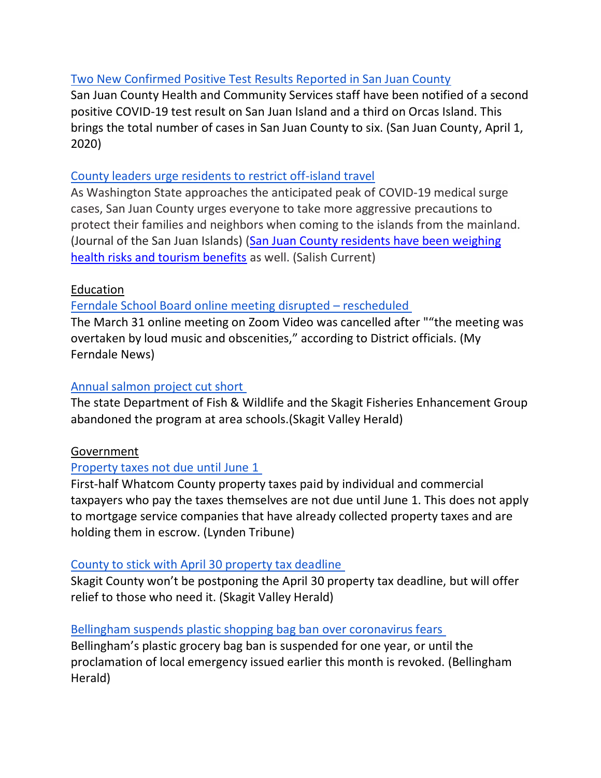# [Two New Confirmed Positive Test Results Reported in San Juan County](https://www.sanjuanco.com/DocumentCenter/View/20110/200401-New-Case-Updates)

San Juan County Health and Community Services staff have been notified of a second positive COVID-19 test result on San Juan Island and a third on Orcas Island. This brings the total number of cases in San Juan County to six. (San Juan County, April 1, 2020)

#### [County leaders urge residents to restrict off-island travel](https://www.sanjuanjournal.com/news/county-leaders-urge-residents-to-restrict-off-island-travel/)

As Washington State approaches the anticipated peak of COVID-19 medical surge cases, San Juan County urges everyone to take more aggressive precautions to protect their families and neighbors when coming to the islands from the mainland. (Journal of the San Juan Islands) [\(San Juan County residents have been weighing](https://salish-current.org/2020/03/26/virus-versus-visitors-san-juan-islanders-weigh-health-risks-of-tourism-amid-pandemic/)  [health risks and tourism benefits](https://salish-current.org/2020/03/26/virus-versus-visitors-san-juan-islanders-weigh-health-risks-of-tourism-amid-pandemic/) as well. (Salish Current)

## Education

[Ferndale School Board online meeting disrupted](https://myferndalenews.com/ferndale-school-board-online-meeting-disrupted-rescheduled_101327/) – rescheduled

The March 31 online meeting on Zoom Video was cancelled after ""the meeting was overtaken by loud music and obscenities," according to District officials. (My Ferndale News)

# [Annual salmon project cut short](https://www.goskagit.com/coronavirus/annual-salmon-project-cut-short/article_2b89a8ba-dc0a-5d43-9258-6350dcf6789d.html)

The state Department of Fish & Wildlife and the Skagit Fisheries Enhancement Group abandoned the program at area schools.(Skagit Valley Herald)

## Government

# [Property taxes not due until June 1](https://www.lyndentribune.com/news/property-taxes-not-due-until-june-1/article_94ed94c6-7435-11ea-a2cd-7b7ea13d8107.html)

First-half Whatcom County property taxes paid by individual and commercial taxpayers who pay the taxes themselves are not due until June 1. This does not apply to mortgage service companies that have already collected property taxes and are holding them in escrow. (Lynden Tribune)

## [County to stick with April 30 property tax deadline](https://www.goskagit.com/news/local_news/county-to-stick-with-april-30-property-tax-deadline/article_bfd38450-8486-507c-b362-7a5f11afb689.html)

Skagit County won't be postponing the April 30 property tax deadline, but will offer relief to those who need it. (Skagit Valley Herald)

## [Bellingham suspends plastic shopping bag ban over coronavirus fears](https://www.bellinghamherald.com/news/local/article241657546.html)

Bellingham's plastic grocery bag ban is suspended for one year, or until the proclamation of local emergency issued earlier this month is revoked. (Bellingham Herald)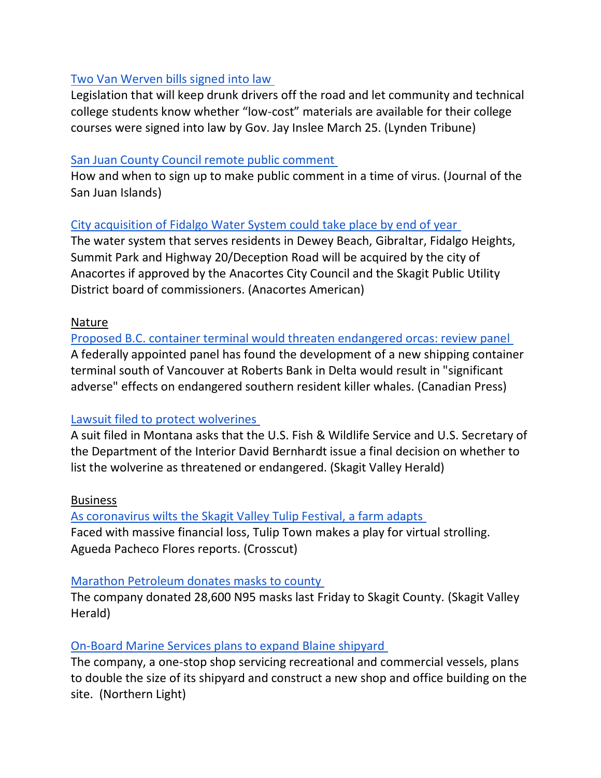#### [Two Van Werven bills signed into law](https://www.lyndentribune.com/news/two-van-werven-bills-signed-into-law/article_c3515630-7436-11ea-b17d-9392b60d4eef.html)

Legislation that will keep drunk drivers off the road and let community and technical college students know whether "low-cost" materials are available for their college courses were signed into law by Gov. Jay Inslee March 25. (Lynden Tribune)

#### [San Juan County Council remote public comment](https://www.sanjuanjournal.com/news/san-juan-county-council-remote-public-comment/)

How and when to sign up to make public comment in a time of virus. (Journal of the San Juan Islands)

#### [City acquisition of Fidalgo Water System could take place by end of year](https://www.goskagit.com/anacortes/news/city-acquisition-of-fidalgo-water-system-could-take-place-by-end-of-year/article_f2ff1394-7414-11ea-b3a6-4f9a7462937f.html)

The water system that serves residents in Dewey Beach, Gibraltar, Fidalgo Heights, Summit Park and Highway 20/Deception Road will be acquired by the city of Anacortes if approved by the Anacortes City Council and the Skagit Public Utility District board of commissioners. (Anacortes American)

#### Nature

[Proposed B.C. container terminal would threaten endangered orcas: review panel](https://www.nsnews.com/proposed-b-c-container-terminal-would-threaten-endangered-orcas-review-panel-1.24109350) A federally appointed panel has found the development of a new shipping container terminal south of Vancouver at Roberts Bank in Delta would result in "significant adverse" effects on endangered southern resident killer whales. (Canadian Press)

## [Lawsuit filed to protect wolverines](https://www.goskagit.com/news/local_news/lawsuit-filed-to-protect-wolverines/article_fd93600b-5734-51cc-ba0b-74906153fe02.html?utm_medium=social&utm_source=email&utm_campaign=user-share)

A suit filed in Montana asks that the U.S. Fish & Wildlife Service and U.S. Secretary of the Department of the Interior David Bernhardt issue a final decision on whether to list the wolverine as threatened or endangered. (Skagit Valley Herald)

#### Business

[As coronavirus wilts the Skagit Valley Tulip Festival, a farm adapts](https://crosscut.com/2020/03/coronavirus-wilts-skagit-valley-tulip-festival-farm-adapts) Faced with massive financial loss, Tulip Town makes a play for virtual strolling. Agueda Pacheco Flores reports. (Crosscut)

#### [Marathon Petroleum donates masks to county](https://www.goskagit.com/coronavirus/marathon-petroleum-donates-masks-to-county/article_c226fe80-2029-525f-85dc-1f2e5544dd62.html)

The company donated 28,600 N95 masks last Friday to Skagit County. (Skagit Valley Herald)

## [On-Board Marine Services plans to expand Blaine shipyard](https://www.thenorthernlight.com/stories/on-board-marine-services-plans-to-expand-blaine-shipyard,10080?)

The company, a one-stop shop servicing recreational and commercial vessels, plans to double the size of its shipyard and construct a new shop and office building on the site. (Northern Light)